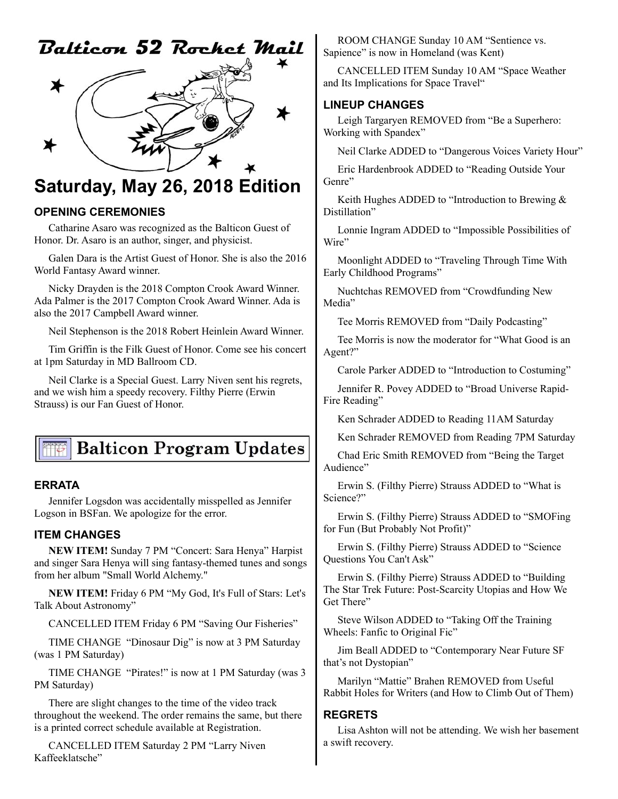# Balticon 52 Rochet Mail



# **Saturday, May 26, 2018 Edition**

#### **OPENING CEREMONIES**

Catharine Asaro was recognized as the Balticon Guest of Honor. Dr. Asaro is an author, singer, and physicist.

Galen Dara is the Artist Guest of Honor. She is also the 2016 World Fantasy Award winner.

Nicky Drayden is the 2018 Compton Crook Award Winner. Ada Palmer is the 2017 Compton Crook Award Winner. Ada is also the 2017 Campbell Award winner.

Neil Stephenson is the 2018 Robert Heinlein Award Winner.

Tim Griffin is the Filk Guest of Honor. Come see his concert at 1pm Saturday in MD Ballroom CD.

Neil Clarke is a Special Guest. Larry Niven sent his regrets, and we wish him a speedy recovery. Filthy Pierre (Erwin Strauss) is our Fan Guest of Honor.

# **Balticon Program Updates**

#### **ERRATA**

Jennifer Logsdon was accidentally misspelled as Jennifer Logson in BSFan. We apologize for the error.

#### **ITEM CHANGES**

**NEW ITEM!** Sunday 7 PM "Concert: Sara Henya" Harpist and singer Sara Henya will sing fantasy-themed tunes and songs from her album "Small World Alchemy."

**NEW ITEM!** Friday 6 PM "My God, It's Full of Stars: Let's Talk About Astronomy"

CANCELLED ITEM Friday 6 PM "Saving Our Fisheries"

TIME CHANGE "Dinosaur Dig" is now at 3 PM Saturday (was 1 PM Saturday)

TIME CHANGE "Pirates!" is now at 1 PM Saturday (was 3 PM Saturday)

There are slight changes to the time of the video track throughout the weekend. The order remains the same, but there is a printed correct schedule available at Registration.

CANCELLED ITEM Saturday 2 PM "Larry Niven Kaffeeklatsche"

ROOM CHANGE Sunday 10 AM "Sentience vs. Sapience" is now in Homeland (was Kent)

CANCELLED ITEM Sunday 10 AM "Space Weather and Its Implications for Space Travel"

#### **LINEUP CHANGES**

Leigh Targaryen REMOVED from "Be a Superhero: Working with Spandex"

Neil Clarke ADDED to "Dangerous Voices Variety Hour"

Eric Hardenbrook ADDED to "Reading Outside Your Genre"

Keith Hughes ADDED to "Introduction to Brewing & Distillation"

Lonnie Ingram ADDED to "Impossible Possibilities of Wire"

Moonlight ADDED to "Traveling Through Time With Early Childhood Programs"

Nuchtchas REMOVED from "Crowdfunding New Media"

Tee Morris REMOVED from "Daily Podcasting"

Tee Morris is now the moderator for "What Good is an Agent?"

Carole Parker ADDED to "Introduction to Costuming"

Jennifer R. Povey ADDED to "Broad Universe Rapid-Fire Reading"

Ken Schrader ADDED to Reading 11AM Saturday

Ken Schrader REMOVED from Reading 7PM Saturday

Chad Eric Smith REMOVED from "Being the Target Audience"

Erwin S. (Filthy Pierre) Strauss ADDED to "What is Science?"

Erwin S. (Filthy Pierre) Strauss ADDED to "SMOFing for Fun (But Probably Not Profit)"

Erwin S. (Filthy Pierre) Strauss ADDED to "Science Questions You Can't Ask"

Erwin S. (Filthy Pierre) Strauss ADDED to "Building The Star Trek Future: Post-Scarcity Utopias and How We Get There"

Steve Wilson ADDED to "Taking Off the Training Wheels: Fanfic to Original Fic"

Jim Beall ADDED to "Contemporary Near Future SF that's not Dystopian"

Marilyn "Mattie" Brahen REMOVED from Useful Rabbit Holes for Writers (and How to Climb Out of Them)

### **REGRETS**

Lisa Ashton will not be attending. We wish her basement a swift recovery.